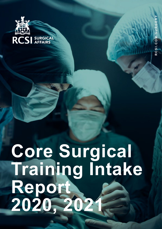

# **Core Surgical Training Intake Report 2020, 2021**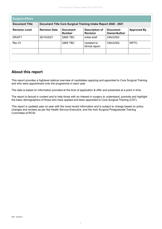| Document Title Core Surgical Training Intake Report 2020 - 2021<br><b>Document Title</b> |                      |                                  |                                          |                                        |                    |
|------------------------------------------------------------------------------------------|----------------------|----------------------------------|------------------------------------------|----------------------------------------|--------------------|
| <b>Revision Level</b>                                                                    | <b>Revision Date</b> | <b>Document</b><br><b>Number</b> | <b>Description of</b><br><b>Revision</b> | <b>Document</b><br><b>Owner/Author</b> | <b>Approved By</b> |
| <b>DRAFT</b>                                                                             | 26/10/2021           | <b>QMS TBC</b>                   | Initial draft                            | CMcG/SG                                |                    |
| <b>Rev 01</b>                                                                            |                      | QMS TBC                          | Updated to<br>formal report              | CMcG/SG                                | <b>ISPTC</b>       |
|                                                                                          |                      |                                  |                                          |                                        |                    |

#### **About this report**

This report provides a highlevel statical overview of candidates applying and appointed to Core Surgical Training and who were appointment onto the programme in each year.

The data is based on information provided at the time of application & offer and presented at a point in time.

The report is factual in content and to help those with an interest in surgery to understand, promote and highlight the basic demographics of those who have applied and been appointed to Core Surgical Trianing (CST).

This report is updated year on year with the most recent information and is subject to change based on policy changes and reviews as per the Health Service Executive, and the Irish Surgical Postgraduate Training Committee of RCSI.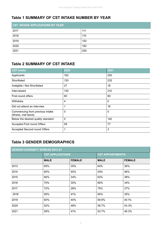#### **Table 1 SUMMARY OF CST INTAKE NUMBER BY YEAR**

| <b>CST INTAKE APPLICATIONS BY YEAR</b> |     |  |  |  |
|----------------------------------------|-----|--|--|--|
| 2017                                   | 111 |  |  |  |
| 2018                                   | 110 |  |  |  |
| 2019                                   | 120 |  |  |  |
| 2020                                   | 162 |  |  |  |
| 2021                                   | 250 |  |  |  |

#### **Table 2 SUMMARY OF CST INTAKE**

| <b>CST Intake</b>                                       | 2020 | 2021        |
|---------------------------------------------------------|------|-------------|
| Applicants                                              | 162  | 250         |
| Shortlisted                                             | 135  | 232         |
| Ineligible / Not Shortlisted                            | 27   | 18          |
| Interviewed                                             | 130  | 212         |
| First-round offers                                      | 60   | 80          |
| Withdrew                                                | 4    | $\mathbf 0$ |
| Did not attend an interview                             | 1    | 18          |
| Commencing from previous intake<br>(illness, mat leave) | 0    | $\mathbf 0$ |
| Below the desired quality standard                      | 0    | 142         |
| Accepted First round Offers                             | 59   | 77          |
| Accepted Second round Offers                            | 1    | 3           |

# **Table 3 GENDER DEMOGRAPHICS**

| <b>GENDER DIVERSITY SPREAD 2013-21</b> |                         |               |                         |               |  |
|----------------------------------------|-------------------------|---------------|-------------------------|---------------|--|
|                                        | <b>CST APPLICATIONS</b> |               | <b>CST APPOINTMENTS</b> |               |  |
|                                        | <b>MALE</b>             | <b>FEMALE</b> | <b>MALE</b>             | <b>FEMALE</b> |  |
| 2013                                   | 65%                     | 35%           | 64%                     | 36%           |  |
| 2014                                   | 60%                     | 40%           | 54%                     | 46%           |  |
| 2015                                   | 66%                     | 34%           | 62%                     | 38%           |  |
| 2016                                   | 70%                     | 30%           | 66%                     | 34%           |  |
| 2017                                   | 72%                     | 28%           | 75%                     | 27%           |  |
| 2018                                   | 59%                     | 41%           | 65%                     | 35%           |  |
| 2019                                   | 60%                     | 40%           | 59.9%                   | 40.1%         |  |
| 2020                                   | 52%                     | 48%           | 56.7%                   | 43.3%         |  |
| 2021                                   | 59%                     | 41%           | 53.7%                   | 46.3%         |  |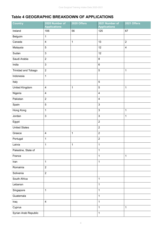#### **Table 4 GEOGRAPHIC BREAKDOWN OF APPLICATIONS**

| <b>Country</b>       | 2020 Number of<br><b>Applications</b> | 2020 Offers | 2021 Number of<br><b>Applications</b> | 2021 Offers    |
|----------------------|---------------------------------------|-------------|---------------------------------------|----------------|
| Ireland              | 106                                   | 56          | 125                                   | 67             |
| Belguim              | $\mathbf 1$                           |             |                                       |                |
| Canada               | $\overline{\mathbf{4}}$               | $\mathbf 1$ | 13                                    | $\overline{2}$ |
| Malaysia             | 5                                     |             | 12                                    | $\overline{4}$ |
| Sudan                | $\mathsf 3$                           |             | 12                                    |                |
| Saudi Arabia         | $\sqrt{2}$                            |             | $\bf 8$                               |                |
| India                | $\mathsf 3$                           |             | $\,6\,$                               |                |
| Trinidad and Tobago  | $\sqrt{2}$                            |             | $\overline{5}$                        | $\mathbf{1}$   |
| Indonesia            | $\mathbf 1$                           |             |                                       |                |
| Italy                |                                       |             | $\overline{5}$                        |                |
| United Kingdom       | $\overline{\mathbf{4}}$               | $\mathbf 1$ | $\sqrt{5}$                            | $\mathbf 1$    |
| Nigeria              | $\overline{\mathbf{4}}$               |             | $\overline{\mathbf{4}}$               |                |
| Pakistan             | $\sqrt{2}$                            |             | $\overline{\mathbf{4}}$               |                |
| Spain                | $\sqrt{5}$                            |             | 3                                     |                |
| Hong Kong            | 1                                     |             | $\mathsf 3$                           | $\mathbf{1}$   |
| Jordan               | $\mathsf 3$                           |             | 3                                     | $\mathbf 1$    |
| Egypt                |                                       |             | $\overline{2}$                        |                |
| <b>United States</b> |                                       |             | $\overline{2}$                        |                |
| Greece               | $\overline{\mathbf{4}}$               | $\mathbf 1$ | $\overline{2}$                        |                |
| Portugal             | $\mathbf{1}$                          |             | $\overline{2}$                        |                |
| Latvia               | 1                                     | 1           | 1                                     |                |
| Palestine, State of  |                                       |             | $\mathbf{1}$                          |                |
| France               |                                       |             | $\mathbf 1$                           | $\mathbf 1$    |
| Iran                 | 1                                     |             | $\mathbf{1}$                          |                |
| Romainia             | $\sqrt{2}$                            |             |                                       |                |
| Solivenia            | $\overline{2}$                        |             |                                       |                |
| South Africa         |                                       |             | $\mathbf 1$                           |                |
| Lebanon              |                                       |             | 1                                     |                |
| Singapore            | 1                                     |             | $\mathbf 1$                           |                |
| Guatemala            |                                       |             | $\mathbf{1}$                          |                |
| Iraq                 | $\overline{\mathbf{4}}$               |             | $\mathbf 1$                           |                |
| Cyprus               |                                       |             | $\mathbf{1}$                          | $\mathbf 1$    |
| Syrian Arab Republic |                                       |             | $\mathbf 1$                           |                |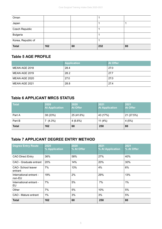| Oman               |     |    |     |    |
|--------------------|-----|----|-----|----|
| Japan              |     |    |     |    |
| Czech Republic     |     |    |     |    |
| <b>Bulgaria</b>    |     |    |     |    |
| Korea, Republic of |     |    |     |    |
| <b>Total</b>       | 162 | 60 | 232 | 80 |

#### **Table 5 AGE PROFILE**

|               | <b>Application</b> | <b>At Offer</b> |
|---------------|--------------------|-----------------|
| MEAN AGE 2018 | 28.4               | 27.0            |
| MEAN AGE 2019 | 28.2               | 27.7            |
| MEAN AGE 2020 | 27.0               | 27.0            |
| MEAN AGE 2021 | 28.8               | 27.4            |

#### **Table 6 APPLICANT MRCS STATUS**

| <b>Total</b> | 2020<br><b>At Application</b> | 2020<br>At Offer | 2021<br><b>At Application</b> | 2021<br><b>At Offer</b> |
|--------------|-------------------------------|------------------|-------------------------------|-------------------------|
| Part A       | 38 (23%)                      | 25 (41.6%)       | 43 (17%)                      | 21 (27.5%)              |
| Part B       | $7(4.3\%)$                    | $4(6.6\%)$       | 11 $(4%)$                     | 4(5%)                   |
| <b>Total</b> | 162                           | 60               | 250                           | 80                      |

### **Table 7 APPLICANT DEGREE ENTRY METHOD**

| <b>Degree Entry Route</b>         | 2020<br>% Application | 2020<br>% At Offer | 2021<br>% At Application | 2021<br>% At Offer |
|-----------------------------------|-----------------------|--------------------|--------------------------|--------------------|
| <b>CAO Direct Entry</b>           | 36%                   | 58%                | 27%                      | 40%                |
| CAO - Graduate entrant            | 20%                   | 14%                | 20%                      | 30%                |
| CAO-School leaver<br>entrant      | 7%                    | 13%                | 4%                       | 6%                 |
| International entrant -<br>non-EU | 19%                   | 2%                 | 29%                      | 13%                |
| International entrant -<br>EU     | 7%                    | 5%                 | 7%                       | $1\%$              |
| Other                             | 7%                    | 5%                 | 10%                      | 5%                 |
| CAO - Mature entrant              | $1\%$                 | 3%                 | 3%                       | 5%                 |
| <b>Total</b>                      | 162                   | 60                 | 250                      | 80                 |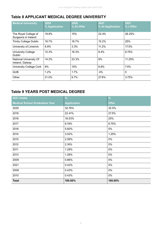# **Table 8 APPLICANT MEDICAL DEGREE UNIVERSITY**

| <b>Medical University</b>                        | 2020<br>% Application | 2020<br>% At Offer | 2021<br>% At Application | 2021<br>% t Offer |
|--------------------------------------------------|-----------------------|--------------------|--------------------------|-------------------|
| The Royal College of<br>Surgeons in Ireland      | 19.8%                 | 15%                | 22.4%                    | 26.25%            |
| <b>Trinity College Dublin</b>                    | 16.7%                 | 16.7%              | 15.2%                    | 25%               |
| University of Limerick                           | 6.8%                  | 3.3%               | 11.2%                    | 17.5%             |
| <b>University College</b><br><b>Dublin</b>       | 12.3%                 | 18.3%              | 8.4%                     | 8.75%             |
| <b>National University Of</b><br>Ireland, Galway | 14.2%                 | 23.3%              | 8%                       | 11.25%            |
| <b>University College Cork</b>                   | 8%                    | 15%                | 6.8%                     | 7.5%              |
| <b>QUB</b>                                       | 1.2%                  | 1.7%               | .4%                      | $\Omega$          |
| Other                                            | 21.0%                 | 6.7%               | 27.6%                    | 3.75%             |

# **Table 9 YEARS POST MEDICAL DEGREE**

| 2021 Intake                           | $\%$               | $\frac{9}{6}$ |
|---------------------------------------|--------------------|---------------|
| <b>Medical School Graduation Year</b> | <b>Application</b> | <b>Offer</b>  |
| 2020                                  | 32.76%             | 32.5%         |
| 2019                                  | 22.41%             | 27.5%         |
| 2018                                  | 18.53%             | 25%           |
| 2017                                  | 8.19%              | 8.75%         |
| 2016                                  | 5.60%              | 5%            |
| 2014                                  | 3.02%              | 1.25%         |
| 2015                                  | 2.59%              | $0\%$         |
| 2012                                  | 2.16%              | $0\%$         |
| 2011                                  | 1.29%              | $0\%$         |
| 2013                                  | 1.29%              | $0\%$         |
| 2009                                  | 0.86%              | $0\%$         |
| 2021                                  | 0.43%              | 0%            |
| 2008                                  | 0.43%              | $0\%$         |
| 2010                                  | 0.43%              | $0\%$         |
| <b>Total</b>                          | 100.00%            | 100.00%       |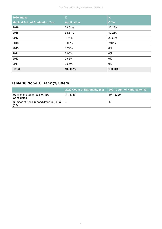| 2020 Intake                           | $\frac{9}{6}$      | $\frac{0}{0}$ |
|---------------------------------------|--------------------|---------------|
| <b>Medical School Graduation Year</b> | <b>Application</b> | <b>Offer</b>  |
| 2019                                  | 29.61%             | 22.22%        |
| 2018                                  | 38.81%             | 49.21%        |
| 2017                                  | 17.11%             | 20.63%        |
| 2016                                  | 6.00%              | 7.94%         |
| 2015                                  | 3.29%              | 0%            |
| 2014                                  | 2.00%              | 0%            |
| 2013                                  | 0.66%              | 0%            |
| 2011                                  | 0.66%              | 0%            |
| <b>Total</b>                          | 100.00%            | 100.00%       |

# **Table 10 Non-EU Rank @ Offers**

|                                               | 2020 Count of Nationality (60) | 2021 Count of Nationality (80) |
|-----------------------------------------------|--------------------------------|--------------------------------|
| Rank of the top three Non-EU<br>Candidates    | 3, 11, 47                      | 10, 16, 29                     |
| Number of Non EU candidates in (60) &<br>(80) | 4                              | -17                            |